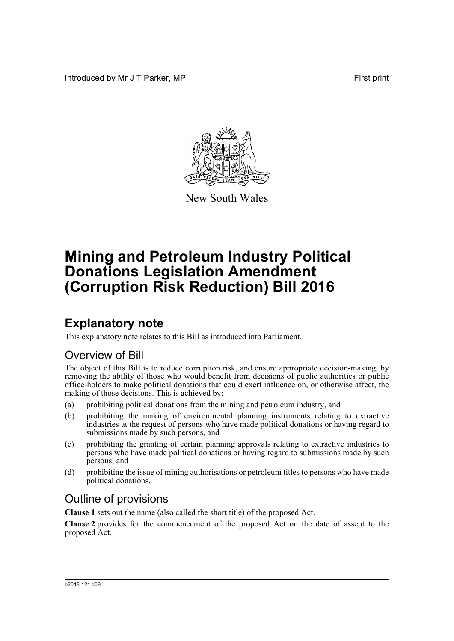Introduced by Mr J T Parker, MP First print



New South Wales

# **Mining and Petroleum Industry Political Donations Legislation Amendment (Corruption Risk Reduction) Bill 2016**

## **Explanatory note**

This explanatory note relates to this Bill as introduced into Parliament.

## Overview of Bill

The object of this Bill is to reduce corruption risk, and ensure appropriate decision-making, by removing the ability of those who would benefit from decisions of public authorities or public office-holders to make political donations that could exert influence on, or otherwise affect, the making of those decisions. This is achieved by:

- (a) prohibiting political donations from the mining and petroleum industry, and
- (b) prohibiting the making of environmental planning instruments relating to extractive industries at the request of persons who have made political donations or having regard to submissions made by such persons, and
- (c) prohibiting the granting of certain planning approvals relating to extractive industries to persons who have made political donations or having regard to submissions made by such persons, and
- (d) prohibiting the issue of mining authorisations or petroleum titles to persons who have made political donations.

## Outline of provisions

**Clause 1** sets out the name (also called the short title) of the proposed Act.

**Clause 2** provides for the commencement of the proposed Act on the date of assent to the proposed Act.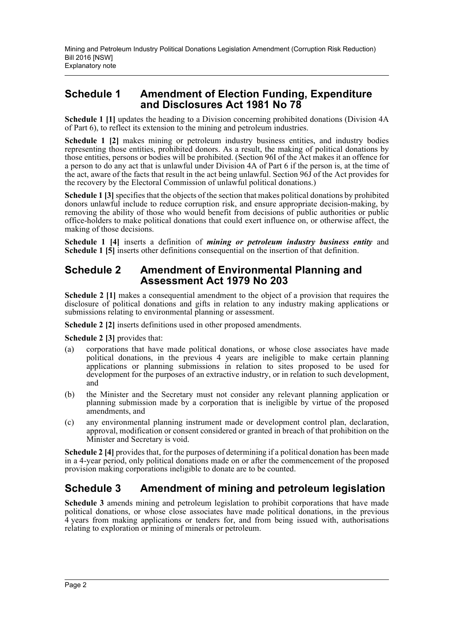### **Schedule 1 Amendment of Election Funding, Expenditure and Disclosures Act 1981 No 78**

**Schedule 1 [1]** updates the heading to a Division concerning prohibited donations (Division 4A of Part 6), to reflect its extension to the mining and petroleum industries.

**Schedule 1 [2]** makes mining or petroleum industry business entities, and industry bodies representing those entities, prohibited donors. As a result, the making of political donations by those entities, persons or bodies will be prohibited. (Section 96I of the Act makes it an offence for a person to do any act that is unlawful under Division 4A of Part 6 if the person is, at the time of the act, aware of the facts that result in the act being unlawful. Section 96J of the Act provides for the recovery by the Electoral Commission of unlawful political donations.)

**Schedule 1 [3]** specifies that the objects of the section that makes political donations by prohibited donors unlawful include to reduce corruption risk, and ensure appropriate decision-making, by removing the ability of those who would benefit from decisions of public authorities or public office-holders to make political donations that could exert influence on, or otherwise affect, the making of those decisions.

**Schedule 1 [4]** inserts a definition of *mining or petroleum industry business entity* and **Schedule 1 [5]** inserts other definitions consequential on the insertion of that definition.

### **Schedule 2 Amendment of Environmental Planning and Assessment Act 1979 No 203**

**Schedule 2 [1]** makes a consequential amendment to the object of a provision that requires the disclosure of political donations and gifts in relation to any industry making applications or submissions relating to environmental planning or assessment.

**Schedule 2 [2]** inserts definitions used in other proposed amendments.

**Schedule 2 [3]** provides that:

- (a) corporations that have made political donations, or whose close associates have made political donations, in the previous 4 years are ineligible to make certain planning applications or planning submissions in relation to sites proposed to be used for development for the purposes of an extractive industry, or in relation to such development, and
- (b) the Minister and the Secretary must not consider any relevant planning application or planning submission made by a corporation that is ineligible by virtue of the proposed amendments, and
- (c) any environmental planning instrument made or development control plan, declaration, approval, modification or consent considered or granted in breach of that prohibition on the Minister and Secretary is void.

**Schedule 2** [4] provides that, for the purposes of determining if a political donation has been made in a 4-year period, only political donations made on or after the commencement of the proposed provision making corporations ineligible to donate are to be counted.

## **Schedule 3 Amendment of mining and petroleum legislation**

**Schedule 3** amends mining and petroleum legislation to prohibit corporations that have made political donations, or whose close associates have made political donations, in the previous 4 years from making applications or tenders for, and from being issued with, authorisations relating to exploration or mining of minerals or petroleum.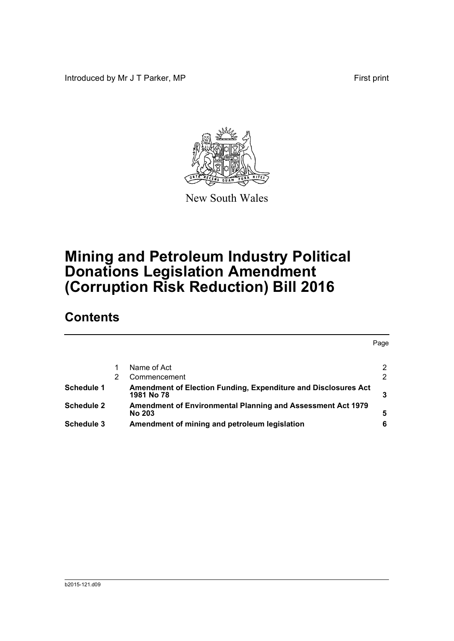Introduced by Mr J T Parker, MP First print



New South Wales

# **Mining and Petroleum Industry Political Donations Legislation Amendment (Corruption Risk Reduction) Bill 2016**

## **Contents**

|                   |   |                                                                              | Page |
|-------------------|---|------------------------------------------------------------------------------|------|
|                   |   | Name of Act                                                                  | 2    |
|                   | 2 | Commencement                                                                 | 2    |
| <b>Schedule 1</b> |   | Amendment of Election Funding, Expenditure and Disclosures Act<br>1981 No 78 |      |
| <b>Schedule 2</b> |   | Amendment of Environmental Planning and Assessment Act 1979<br>No 203        | 5    |
| Schedule 3        |   | Amendment of mining and petroleum legislation                                | 6    |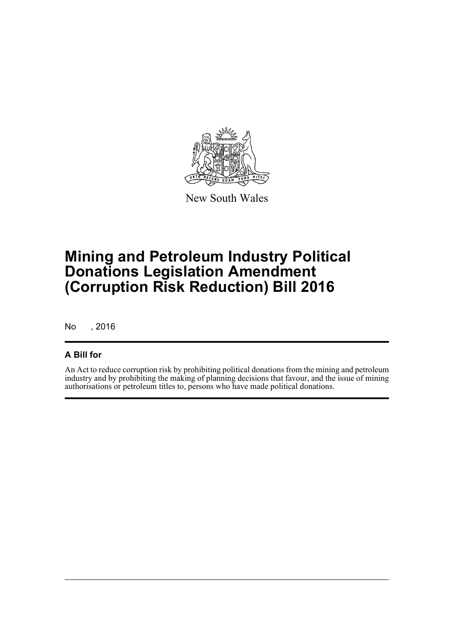

New South Wales

# **Mining and Petroleum Industry Political Donations Legislation Amendment (Corruption Risk Reduction) Bill 2016**

No , 2016

### **A Bill for**

An Act to reduce corruption risk by prohibiting political donations from the mining and petroleum industry and by prohibiting the making of planning decisions that favour, and the issue of mining authorisations or petroleum titles to, persons who have made political donations.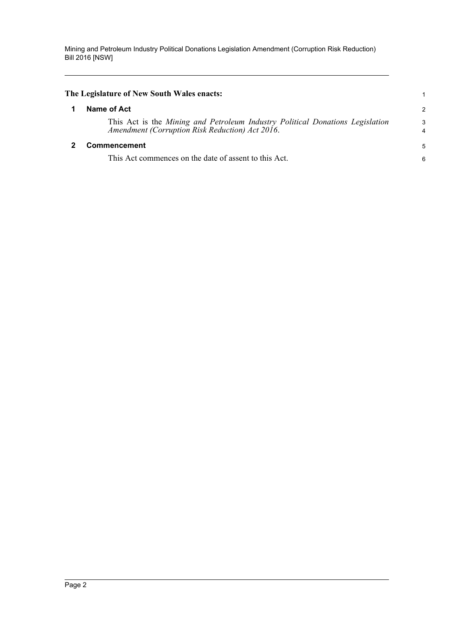Mining and Petroleum Industry Political Donations Legislation Amendment (Corruption Risk Reduction) Bill 2016 [NSW]

<span id="page-4-1"></span><span id="page-4-0"></span>

| The Legislature of New South Wales enacts:                                                                                       | 1 |
|----------------------------------------------------------------------------------------------------------------------------------|---|
| Name of Act                                                                                                                      | 2 |
| This Act is the Mining and Petroleum Industry Political Donations Legislation<br>Amendment (Corruption Risk Reduction) Act 2016. | 3 |
| <b>Commencement</b>                                                                                                              |   |
| This Act commences on the date of assent to this Act.                                                                            | 6 |
|                                                                                                                                  |   |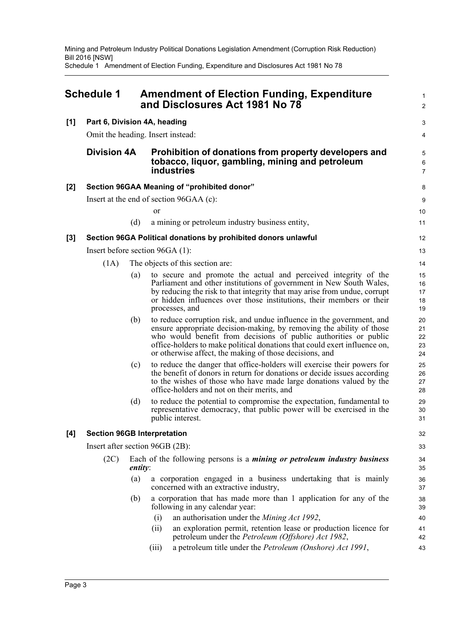Mining and Petroleum Industry Political Donations Legislation Amendment (Corruption Risk Reduction) Bill 2016 [NSW] Schedule 1 Amendment of Election Funding, Expenditure and Disclosures Act 1981 No 78

<span id="page-5-0"></span>

| <b>Schedule 1</b> |                                         |                | <b>Amendment of Election Funding, Expenditure</b><br>and Disclosures Act 1981 No 78                                                                                                                                                                                                                                                                       |                            |
|-------------------|-----------------------------------------|----------------|-----------------------------------------------------------------------------------------------------------------------------------------------------------------------------------------------------------------------------------------------------------------------------------------------------------------------------------------------------------|----------------------------|
| [1]               |                                         |                | Part 6, Division 4A, heading                                                                                                                                                                                                                                                                                                                              | 3                          |
|                   | Omit the heading. Insert instead:       |                |                                                                                                                                                                                                                                                                                                                                                           | 4                          |
|                   | <b>Division 4A</b>                      |                | Prohibition of donations from property developers and<br>tobacco, liquor, gambling, mining and petroleum<br><b>industries</b>                                                                                                                                                                                                                             | 5<br>6<br>$\overline{7}$   |
| $[2]$             |                                         |                | Section 96GAA Meaning of "prohibited donor"                                                                                                                                                                                                                                                                                                               | 8                          |
|                   | Insert at the end of section 96GAA (c): |                |                                                                                                                                                                                                                                                                                                                                                           | 9                          |
|                   |                                         |                | <sub>or</sub>                                                                                                                                                                                                                                                                                                                                             | 10                         |
|                   |                                         | (d)            | a mining or petroleum industry business entity,                                                                                                                                                                                                                                                                                                           | 11                         |
| $[3]$             |                                         |                | Section 96GA Political donations by prohibited donors unlawful                                                                                                                                                                                                                                                                                            | 12                         |
|                   |                                         |                | Insert before section $96GA(1)$ :                                                                                                                                                                                                                                                                                                                         | 13                         |
|                   | (1A)                                    |                | The objects of this section are:                                                                                                                                                                                                                                                                                                                          | 14                         |
|                   |                                         | (a)            | to secure and promote the actual and perceived integrity of the<br>Parliament and other institutions of government in New South Wales,<br>by reducing the risk to that integrity that may arise from undue, corrupt<br>or hidden influences over those institutions, their members or their<br>processes, and                                             | 15<br>16<br>17<br>18<br>19 |
|                   |                                         | (b)            | to reduce corruption risk, and undue influence in the government, and<br>ensure appropriate decision-making, by removing the ability of those<br>who would benefit from decisions of public authorities or public<br>office-holders to make political donations that could exert influence on,<br>or otherwise affect, the making of those decisions, and | 20<br>21<br>22<br>23<br>24 |
|                   |                                         | (c)            | to reduce the danger that office-holders will exercise their powers for<br>the benefit of donors in return for donations or decide issues according<br>to the wishes of those who have made large donations valued by the<br>office-holders and not on their merits, and                                                                                  | 25<br>26<br>27<br>28       |
|                   |                                         | (d)            | to reduce the potential to compromise the expectation, fundamental to<br>representative democracy, that public power will be exercised in the<br>public interest.                                                                                                                                                                                         | 29<br>30<br>31             |
| $[4]$             |                                         |                | <b>Section 96GB Interpretation</b>                                                                                                                                                                                                                                                                                                                        | 32                         |
|                   |                                         |                | Insert after section 96GB (2B):                                                                                                                                                                                                                                                                                                                           | 33                         |
|                   | (2C)                                    | <i>entity:</i> | Each of the following persons is a <i>mining or petroleum industry business</i>                                                                                                                                                                                                                                                                           | 34<br>35                   |
|                   |                                         | (a)            | a corporation engaged in a business undertaking that is mainly<br>concerned with an extractive industry,                                                                                                                                                                                                                                                  | 36<br>37                   |
|                   |                                         | (b)            | a corporation that has made more than 1 application for any of the<br>following in any calendar year:                                                                                                                                                                                                                                                     | 38<br>39                   |
|                   |                                         |                | an authorisation under the Mining Act 1992,<br>(i)                                                                                                                                                                                                                                                                                                        | 40                         |
|                   |                                         |                | an exploration permit, retention lease or production licence for<br>(ii)<br>petroleum under the Petroleum (Offshore) Act 1982,                                                                                                                                                                                                                            | 41<br>42                   |
|                   |                                         |                | a petroleum title under the Petroleum (Onshore) Act 1991,<br>(iii)                                                                                                                                                                                                                                                                                        | 43                         |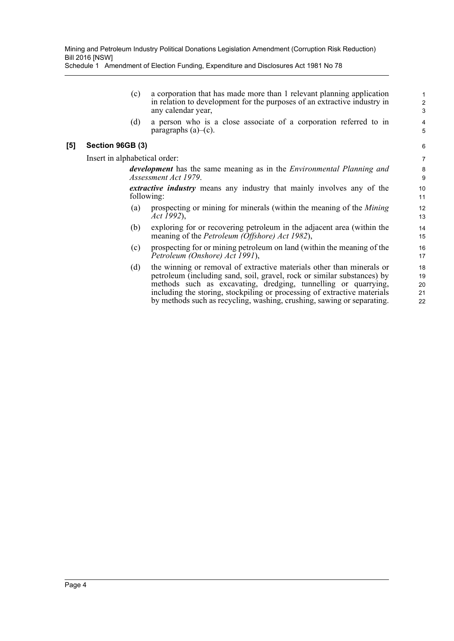Schedule 1 Amendment of Election Funding, Expenditure and Disclosures Act 1981 No 78

(c) a corporation that has made more than 1 relevant planning application in relation to development for the purposes of an extractive industry in any calendar year,

(d) a person who is a close associate of a corporation referred to in paragraphs  $(a)$ – $(c)$ .

#### **[5] Section 96GB (3)**

Insert in alphabetical order:

*development* has the same meaning as in the *Environmental Planning and Assessment Act 1979*.

*extractive industry* means any industry that mainly involves any of the following:

- (a) prospecting or mining for minerals (within the meaning of the *Mining Act 1992*),
- (b) exploring for or recovering petroleum in the adjacent area (within the meaning of the *Petroleum (Offshore) Act 1982*),
- (c) prospecting for or mining petroleum on land (within the meaning of the *Petroleum (Onshore) Act 1991*),
- (d) the winning or removal of extractive materials other than minerals or petroleum (including sand, soil, gravel, rock or similar substances) by methods such as excavating, dredging, tunnelling or quarrying, including the storing, stockpiling or processing of extractive materials by methods such as recycling, washing, crushing, sawing or separating.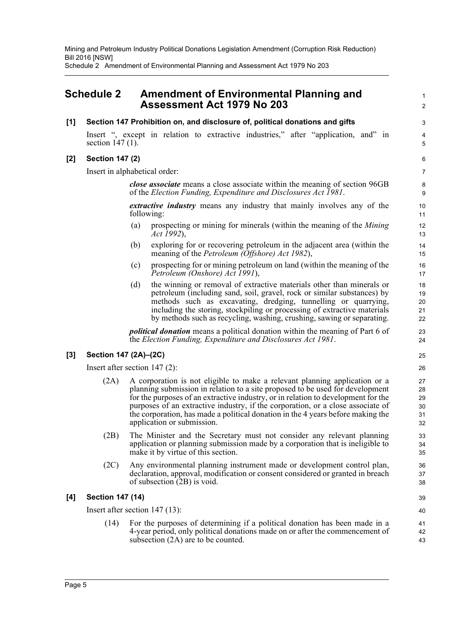Mining and Petroleum Industry Political Donations Legislation Amendment (Corruption Risk Reduction) Bill 2016 [NSW] Schedule 2 Amendment of Environmental Planning and Assessment Act 1979 No 203

### <span id="page-7-0"></span>**Schedule 2 Amendment of Environmental Planning and Assessment Act 1979 No 203**

#### **[1] Section 147 Prohibition on, and disclosure of, political donations and gifts**

Insert ", except in relation to extractive industries," after "application, and" in section 147 (1).

#### **[2] Section 147 (2)**

Insert in alphabetical order:

*close associate* means a close associate within the meaning of section 96GB of the *Election Funding, Expenditure and Disclosures Act 1981*.

1  $\mathfrak{p}$ 

3 4 5

*extractive industry* means any industry that mainly involves any of the following:

- (a) prospecting or mining for minerals (within the meaning of the *Mining Act 1992*),
- (b) exploring for or recovering petroleum in the adjacent area (within the meaning of the *Petroleum (Offshore) Act 1982*),
- (c) prospecting for or mining petroleum on land (within the meaning of the *Petroleum (Onshore) Act 1991*),
- (d) the winning or removal of extractive materials other than minerals or petroleum (including sand, soil, gravel, rock or similar substances) by methods such as excavating, dredging, tunnelling or quarrying, including the storing, stockpiling or processing of extractive materials by methods such as recycling, washing, crushing, sawing or separating.

*political donation* means a political donation within the meaning of Part 6 of the *Election Funding, Expenditure and Disclosures Act 1981*.

#### **[3] Section 147 (2A)–(2C)**

Insert after section 147 (2):

- (2A) A corporation is not eligible to make a relevant planning application or a planning submission in relation to a site proposed to be used for development for the purposes of an extractive industry, or in relation to development for the purposes of an extractive industry, if the corporation, or a close associate of the corporation, has made a political donation in the 4 years before making the application or submission.
- (2B) The Minister and the Secretary must not consider any relevant planning application or planning submission made by a corporation that is ineligible to make it by virtue of this section.
- (2C) Any environmental planning instrument made or development control plan, declaration, approval, modification or consent considered or granted in breach of subsection (2B) is void.

#### **[4] Section 147 (14)**

Insert after section 147 (13):

(14) For the purposes of determining if a political donation has been made in a 4-year period, only political donations made on or after the commencement of subsection (2A) are to be counted.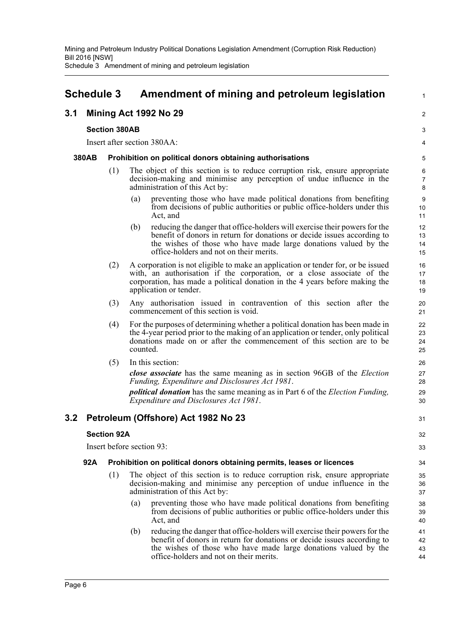### <span id="page-8-0"></span>**Schedule 3 Amendment of mining and petroleum legislation**

#### **3.1 Mining Act 1992 No 29**

#### **Section 380AB**

Insert after section 380AA:

#### **380AB Prohibition on political donors obtaining authorisations**

- (1) The object of this section is to reduce corruption risk, ensure appropriate decision-making and minimise any perception of undue influence in the administration of this Act by:
	- (a) preventing those who have made political donations from benefiting from decisions of public authorities or public office-holders under this Act, and

1

 $\mathfrak{p}$ 

31

- (b) reducing the danger that office-holders will exercise their powers for the benefit of donors in return for donations or decide issues according to the wishes of those who have made large donations valued by the office-holders and not on their merits.
- (2) A corporation is not eligible to make an application or tender for, or be issued with, an authorisation if the corporation, or a close associate of the corporation, has made a political donation in the 4 years before making the application or tender.
- (3) Any authorisation issued in contravention of this section after the commencement of this section is void.
- (4) For the purposes of determining whether a political donation has been made in the 4-year period prior to the making of an application or tender, only political donations made on or after the commencement of this section are to be counted.
- (5) In this section:

*close associate* has the same meaning as in section 96GB of the *Election Funding, Expenditure and Disclosures Act 1981*.

*political donation* has the same meaning as in Part 6 of the *Election Funding, Expenditure and Disclosures Act 1981*.

### **3.2 Petroleum (Offshore) Act 1982 No 23**

#### **Section 92A**

Insert before section 93:

#### **92A Prohibition on political donors obtaining permits, leases or licences**

- (1) The object of this section is to reduce corruption risk, ensure appropriate decision-making and minimise any perception of undue influence in the administration of this Act by:
	- (a) preventing those who have made political donations from benefiting from decisions of public authorities or public office-holders under this Act, and
	- (b) reducing the danger that office-holders will exercise their powers for the benefit of donors in return for donations or decide issues according to the wishes of those who have made large donations valued by the office-holders and not on their merits. 41 42 43 44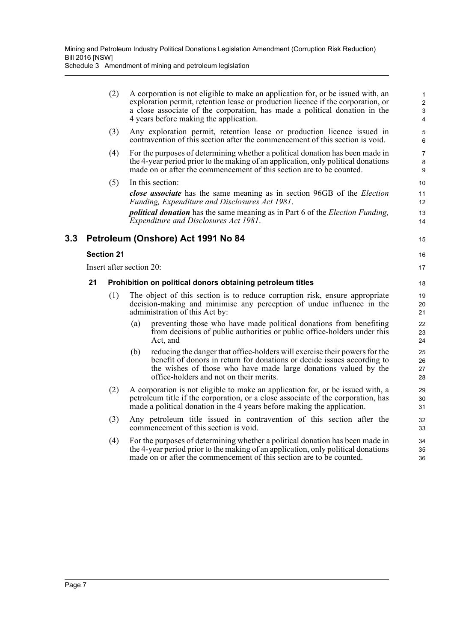Schedule 3 Amendment of mining and petroleum legislation

|     |    | (2)                      |     | A corporation is not eligible to make an application for, or be issued with, an<br>exploration permit, retention lease or production licence if the corporation, or<br>a close associate of the corporation, has made a political donation in the<br>4 years before making the application. | $\mathbf{1}$<br>$\boldsymbol{2}$<br>3<br>$\overline{4}$ |
|-----|----|--------------------------|-----|---------------------------------------------------------------------------------------------------------------------------------------------------------------------------------------------------------------------------------------------------------------------------------------------|---------------------------------------------------------|
|     |    | (3)                      |     | Any exploration permit, retention lease or production licence issued in<br>contravention of this section after the commencement of this section is void.                                                                                                                                    | 5<br>6                                                  |
|     |    | (4)                      |     | For the purposes of determining whether a political donation has been made in<br>the 4-year period prior to the making of an application, only political donations<br>made on or after the commencement of this section are to be counted.                                                  | 7<br>8<br>9                                             |
|     |    | (5)                      |     | In this section:                                                                                                                                                                                                                                                                            | 10                                                      |
|     |    |                          |     | close associate has the same meaning as in section 96GB of the <i>Election</i><br>Funding, Expenditure and Disclosures Act 1981.                                                                                                                                                            | 11<br>12                                                |
|     |    |                          |     | <i>political donation</i> has the same meaning as in Part 6 of the <i>Election Funding</i> ,<br>Expenditure and Disclosures Act 1981.                                                                                                                                                       | 13<br>14                                                |
| 3.3 |    |                          |     | Petroleum (Onshore) Act 1991 No 84                                                                                                                                                                                                                                                          | 15                                                      |
|     |    | <b>Section 21</b>        |     |                                                                                                                                                                                                                                                                                             | 16                                                      |
|     |    | Insert after section 20: |     |                                                                                                                                                                                                                                                                                             | 17                                                      |
|     | 21 |                          |     | Prohibition on political donors obtaining petroleum titles                                                                                                                                                                                                                                  | 18                                                      |
|     |    | (1)                      |     | The object of this section is to reduce corruption risk, ensure appropriate<br>decision-making and minimise any perception of undue influence in the<br>administration of this Act by:                                                                                                      | 19<br>20<br>21                                          |
|     |    |                          | (a) | preventing those who have made political donations from benefiting<br>from decisions of public authorities or public office-holders under this<br>Act, and                                                                                                                                  | 22<br>23<br>24                                          |
|     |    |                          | (b) | reducing the danger that office-holders will exercise their powers for the<br>benefit of donors in return for donations or decide issues according to<br>the wishes of those who have made large donations valued by the<br>office-holders and not on their merits.                         | 25<br>26<br>27<br>28                                    |
|     |    | (2)                      |     | A corporation is not eligible to make an application for, or be issued with, a<br>petroleum title if the corporation, or a close associate of the corporation, has<br>made a political donation in the 4 years before making the application.                                               | 29<br>30<br>31                                          |
|     |    | (3)                      |     | Any petroleum title issued in contravention of this section after the<br>commencement of this section is void.                                                                                                                                                                              | 32<br>33                                                |
|     |    | (4)                      |     | For the purposes of determining whether a political donation has been made in<br>the 4-year period prior to the making of an application, only political donations<br>made on or after the commencement of this section are to be counted.                                                  | 34<br>35<br>36                                          |